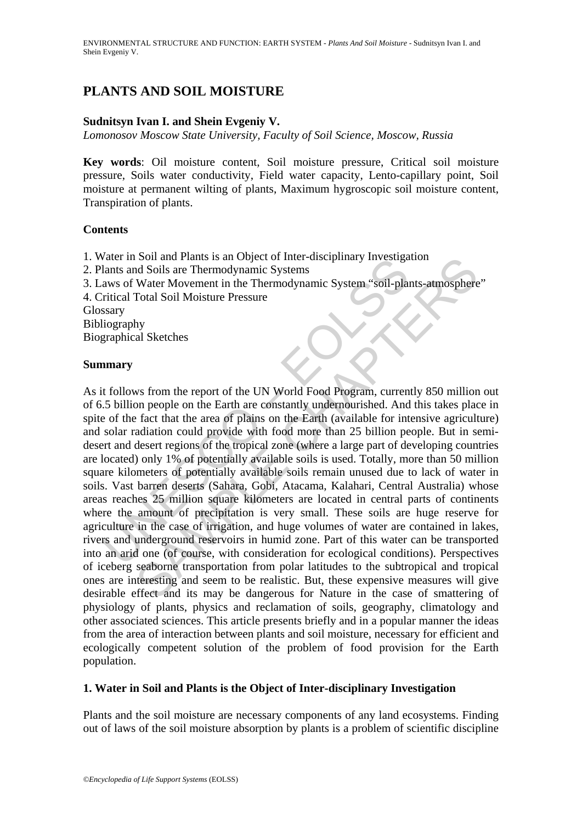# **PLANTS AND SOIL MOISTURE**

#### **Sudnitsyn Ivan I. and Shein Evgeniy V.**

*Lomonosov Moscow State University, Faculty of Soil Science, Moscow, Russia* 

**Key words**: Oil moisture content, Soil moisture pressure, Critical soil moisture pressure, Soils water conductivity, Field water capacity, Lento-capillary point, Soil moisture at permanent wilting of plants, Maximum hygroscopic soil moisture content, Transpiration of plants.

#### **Contents**

- 1. Water in Soil and Plants is an Object of Inter-disciplinary Investigation
- 2. Plants and Soils are Thermodynamic Systems
- 3. Laws of Water Movement in the Thermodynamic System "soil-plants-atmosphere"

4. Critical Total Soil Moisture Pressure

**Glossary** 

Bibliography

Biographical Sketches

#### **Summary**

A and Fin Solid Translation conter-unsciplinary investigations and Fin Solid are Theorem and Solis are Thermodynamic Systems and Solis are Thermodynamic Systems was of Water Movement in the Thermodynamic System "soil-plati Soli and Plants is an object of inter-disciplinary investigation<br>Soli Solis are Thermodynamic Systems<br>Water Movement in the Thermodynamic System "soil-plants-atmosphere<br>Total Soil Moisture Pressure<br>Total Soil Moisture Pres As it follows from the report of the UN World Food Program, currently 850 million out of 6.5 billion people on the Earth are constantly undernourished. And this takes place in spite of the fact that the area of plains on the Earth (available for intensive agriculture) and solar radiation could provide with food more than 25 billion people. But in semidesert and desert regions of the tropical zone (where a large part of developing countries are located) only 1% of potentially available soils is used. Totally, more than 50 million square kilometers of potentially available soils remain unused due to lack of water in soils. Vast barren deserts (Sahara, Gobi, Atacama, Kalahari, Central Australia) whose areas reaches 25 million square kilometers are located in central parts of continents where the amount of precipitation is very small. These soils are huge reserve for agriculture in the case of irrigation, and huge volumes of water are contained in lakes, rivers and underground reservoirs in humid zone. Part of this water can be transported into an arid one (of course, with consideration for ecological conditions). Perspectives of iceberg seaborne transportation from polar latitudes to the subtropical and tropical ones are interesting and seem to be realistic. But, these expensive measures will give desirable effect and its may be dangerous for Nature in the case of smattering of physiology of plants, physics and reclamation of soils, geography, climatology and other associated sciences. This article presents briefly and in a popular manner the ideas from the area of interaction between plants and soil moisture, necessary for efficient and ecologically competent solution of the problem of food provision for the Earth population.

### **1. Water in Soil and Plants is the Object of Inter-disciplinary Investigation**

Plants and the soil moisture are necessary components of any land ecosystems. Finding out of laws of the soil moisture absorption by plants is a problem of scientific discipline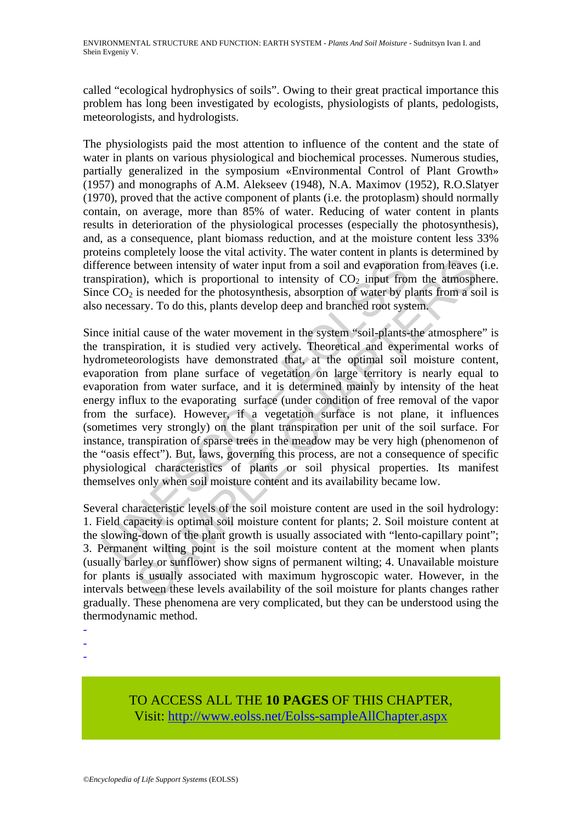called "ecological hydrophysics of soils". Owing to their great practical importance this problem has long been investigated by ecologists, physiologists of plants, pedologists, meteorologists, and hydrologists.

The physiologists paid the most attention to influence of the content and the state of water in plants on various physiological and biochemical processes. Numerous studies, partially generalized in the symposium «Environmental Control of Plant Growth» (1957) and monographs of A.M. Alekseev (1948), N.A. Maximov (1952), R.O.Slatyer (1970), proved that the active component of plants (i.e. the protoplasm) should normally contain, on average, more than 85% of water. Reducing of water content in plants results in deterioration of the physiological processes (especially the photosynthesis), and, as a consequence, plant biomass reduction, and at the moisture content less 33% proteins completely loose the vital activity. The water content in plants is determined by difference between intensity of water input from a soil and evaporation from leaves (i.e. transpiration), which is proportional to intensity of  $CO<sub>2</sub>$  input from the atmosphere. Since  $CO<sub>2</sub>$  is needed for the photosynthesis, absorption of water by plants from a soil is also necessary. To do this, plants develop deep and branched root system.

erence between intensity of water input from a soil and evaporation<br>spiration), which is proportional to intensity of  $CO_2$  input from<br>e  $CO_2$  is needed for the photosynthesis, absorption of water by p<br>necessary. To do th metheuro intensity of water input from a soil and evaporation from leaves<br>between intensity of water input from a soil and evaporation from leaves<br>on), which is proportional to intensity of CO<sub>2</sub> input from the atmospher<br>a Since initial cause of the water movement in the system "soil-plants-the atmosphere" is the transpiration, it is studied very actively. Theoretical and experimental works of hydrometeorologists have demonstrated that, at the optimal soil moisture content, evaporation from plane surface of vegetation on large territory is nearly equal to evaporation from water surface, and it is determined mainly by intensity of the heat energy influx to the evaporating surface (under condition of free removal of the vapor from the surface). However, if a vegetation surface is not plane, it influences (sometimes very strongly) on the plant transpiration per unit of the soil surface. For instance, transpiration of sparse trees in the meadow may be very high (phenomenon of the "oasis effect"). But, laws, governing this process, are not a consequence of specific physiological characteristics of plants or soil physical properties. Its manifest themselves only when soil moisture content and its availability became low.

Several characteristic levels of the soil moisture content are used in the soil hydrology: 1. Field capacity is optimal soil moisture content for plants; 2. Soil moisture content at the slowing-down of the plant growth is usually associated with "lento-capillary point"; 3. Permanent wilting point is the soil moisture content at the moment when plants (usually barley or sunflower) show signs of permanent wilting; 4. Unavailable moisture for plants is usually associated with maximum hygroscopic water. However, in the intervals between these levels availability of the soil moisture for plants changes rather gradually. These phenomena are very complicated, but they can be understood using the thermodynamic method.

- -
- -
- -

## TO ACCESS ALL THE **10 PAGES** OF THIS CHAPTER, Visit: [http://www.eolss.net/Eolss-sampleAllChapter.aspx](https://www.eolss.net/ebooklib/sc_cart.aspx?File=E4-02-05-04)